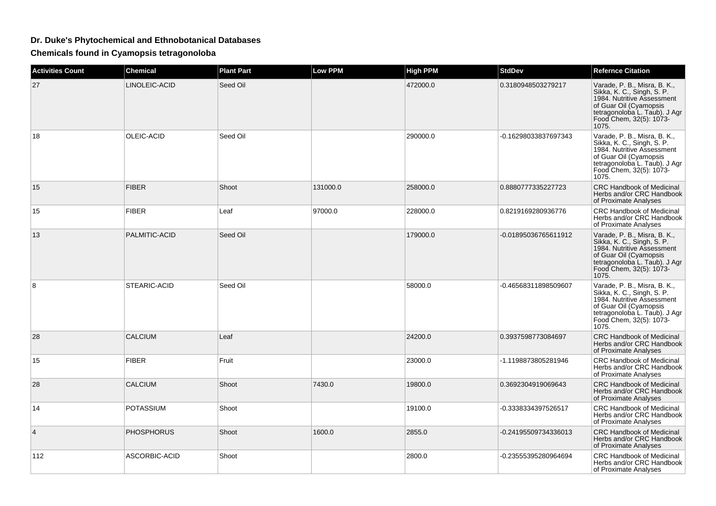## **Dr. Duke's Phytochemical and Ethnobotanical Databases**

**Chemicals found in Cyamopsis tetragonoloba**

| <b>Activities Count</b> | <b>Chemical</b>   | <b>Plant Part</b> | <b>Low PPM</b> | <b>High PPM</b> | <b>StdDev</b>        | <b>Refernce Citation</b>                                                                                                                                                                |
|-------------------------|-------------------|-------------------|----------------|-----------------|----------------------|-----------------------------------------------------------------------------------------------------------------------------------------------------------------------------------------|
| 27                      | LINOLEIC-ACID     | Seed Oil          |                | 472000.0        | 0.3180948503279217   | Varade, P. B., Misra, B. K., Sikka, K. C., Singh, S. P.<br>1984. Nutritive Assessment<br>of Guar Oil (Cyamopsis<br>tetragonoloba L. Taub). J Agr<br>Food Chem, 32(5): 1073-<br>1075.    |
| 18                      | OLEIC-ACID        | Seed Oil          |                | 290000.0        | -0.16298033837697343 | Varade, P. B., Misra, B. K., Sikka, K. C., Singh, S. P.<br>1984. Nutritive Assessment<br>of Guar Oil (Cyamopsis<br>tetragonoloba L. Taub). J Agr<br>Food Chem, 32(5): 1073-<br>1075.    |
| 15                      | <b>FIBER</b>      | Shoot             | 131000.0       | 258000.0        | 0.8880777335227723   | <b>CRC Handbook of Medicinal</b><br>Herbs and/or CRC Handbook<br>of Proximate Analyses                                                                                                  |
| 15                      | <b>FIBER</b>      | Leaf              | 97000.0        | 228000.0        | 0.8219169280936776   | CRC Handbook of Medicinal<br>Herbs and/or CRC Handbook<br>of Proximate Analyses                                                                                                         |
| 13                      | PALMITIC-ACID     | Seed Oil          |                | 179000.0        | -0.01895036765611912 | Varade, P. B., Misra, B. K., Sikka, K. C., Singh, S. P.<br>1984. Nutritive Assessment<br>of Guar Oil (Cyamopsis<br>tetragonoloba L. Taub). J Agr<br>Food Chem, 32(5): 1073-<br>1075.    |
| 8                       | STEARIC-ACID      | Seed Oil          |                | 58000.0         | -0.46568311898509607 | Varade, P. B., Misra, B. K.,<br>Sikka, K. C., Singh, S. P.<br>1984. Nutritive Assessment<br>of Guar Oil (Cyamopsis<br>tetragonoloba L. Taub). J Agr<br>Food Chem, 32(5): 1073-<br>1075. |
| 28                      | <b>CALCIUM</b>    | Leaf              |                | 24200.0         | 0.3937598773084697   | CRC Handbook of Medicinal<br>Herbs and/or CRC Handbook<br>of Proximate Analyses                                                                                                         |
| 15                      | <b>FIBER</b>      | Fruit             |                | 23000.0         | -1.1198873805281946  | <b>CRC Handbook of Medicinal</b><br>Herbs and/or CRC Handbook<br>of Proximate Analyses                                                                                                  |
| 28                      | <b>CALCIUM</b>    | Shoot             | 7430.0         | 19800.0         | 0.3692304919069643   | <b>CRC Handbook of Medicinal</b><br>Herbs and/or CRC Handbook<br>of Proximate Analyses                                                                                                  |
| 14                      | POTASSIUM         | Shoot             |                | 19100.0         | -0.3338334397526517  | <b>CRC Handbook of Medicinal</b><br>Herbs and/or CRC Handbook<br>of Proximate Analyses                                                                                                  |
| 4                       | <b>PHOSPHORUS</b> | Shoot             | 1600.0         | 2855.0          | -0.24195509734336013 | <b>CRC Handbook of Medicinal</b><br>Herbs and/or CRC Handbook<br>of Proximate Analyses                                                                                                  |
| 112                     | ASCORBIC-ACID     | Shoot             |                | 2800.0          | -0.23555395280964694 | <b>CRC Handbook of Medicinal</b><br>Herbs and/or CRC Handbook<br>of Proximate Analyses                                                                                                  |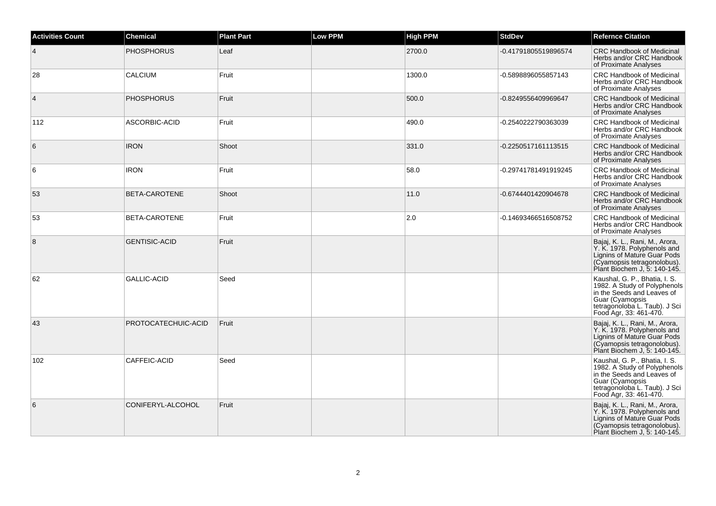| <b>Activities Count</b> | Chemical             | <b>Plant Part</b> | <b>Low PPM</b> | <b>High PPM</b> | <b>StdDev</b>        | <b>Refernce Citation</b>                                                                                                                                                  |
|-------------------------|----------------------|-------------------|----------------|-----------------|----------------------|---------------------------------------------------------------------------------------------------------------------------------------------------------------------------|
| $\overline{4}$          | <b>PHOSPHORUS</b>    | Leaf              |                | 2700.0          | -0.41791805519896574 | <b>CRC Handbook of Medicinal</b><br>Herbs and/or CRC Handbook<br>of Proximate Analyses                                                                                    |
| 28                      | <b>CALCIUM</b>       | Fruit             |                | 1300.0          | -0.5898896055857143  | <b>CRC Handbook of Medicinal</b><br>Herbs and/or CRC Handbook<br>of Proximate Analyses                                                                                    |
| $\overline{4}$          | <b>PHOSPHORUS</b>    | Fruit             |                | 500.0           | -0.8249556409969647  | <b>CRC Handbook of Medicinal</b><br>Herbs and/or CRC Handbook<br>of Proximate Analyses                                                                                    |
| 112                     | ASCORBIC-ACID        | Fruit             |                | 490.0           | -0.2540222790363039  | <b>CRC Handbook of Medicinal</b><br>Herbs and/or CRC Handbook<br>of Proximate Analyses                                                                                    |
| 6                       | <b>IRON</b>          | Shoot             |                | 331.0           | -0.2250517161113515  | <b>CRC Handbook of Medicinal</b><br>Herbs and/or CRC Handbook<br>of Proximate Analyses                                                                                    |
| 6                       | <b>IRON</b>          | Fruit             |                | 58.0            | -0.29741781491919245 | <b>CRC Handbook of Medicinal</b><br>Herbs and/or CRC Handbook<br>of Proximate Analyses                                                                                    |
| 53                      | <b>BETA-CAROTENE</b> | Shoot             |                | 11.0            | -0.6744401420904678  | <b>CRC Handbook of Medicinal</b><br>Herbs and/or CRC Handbook<br>of Proximate Analyses                                                                                    |
| 53                      | BETA-CAROTENE        | Fruit             |                | 2.0             | -0.14693466516508752 | <b>CRC Handbook of Medicinal</b><br>Herbs and/or CRC Handbook<br>of Proximate Analyses                                                                                    |
| 8                       | <b>GENTISIC-ACID</b> | Fruit             |                |                 |                      | Bajaj, K. L., Rani, M., Arora,<br>Y. K. 1978. Polyphenols and<br>Lignins of Mature Guar Pods<br>(Cyamopsis tetragonolobus).<br>Plant Biochem J, 5: 140-145.               |
| 62                      | <b>GALLIC-ACID</b>   | Seed              |                |                 |                      | Kaushal, G. P., Bhatia, I. S.<br>1982. A Study of Polyphenols<br>in the Seeds and Leaves of<br>Guar (Cyamopsis<br>tetragonoloba L. Taub). J Sci<br>Food Agr, 33: 461-470. |
| 43                      | PROTOCATECHUIC-ACID  | Fruit             |                |                 |                      | Bajaj, K. L., Rani, M., Arora,<br>Y. K. 1978. Polyphenols and<br>Lignins of Mature Guar Pods<br>(Cyamopsis tetragonolobus).<br>Plant Biochem J, 5: 140-145.               |
| 102                     | CAFFEIC-ACID         | Seed              |                |                 |                      | Kaushal, G. P., Bhatia, I. S.<br>1982. A Study of Polyphenols<br>in the Seeds and Leaves of<br>Guar (Cvamopsis<br>tetragonoloba L. Taub). J Sci<br>Food Agr, 33: 461-470. |
| 6                       | CONIFERYL-ALCOHOL    | Fruit             |                |                 |                      | Bajaj, K. L., Rani, M., Arora,<br>Y. K. 1978. Polyphenols and<br>Lignins of Mature Guar Pods<br>(Cyamopsis tetragonolobus).<br>Plant Biochem J, 5: 140-145.               |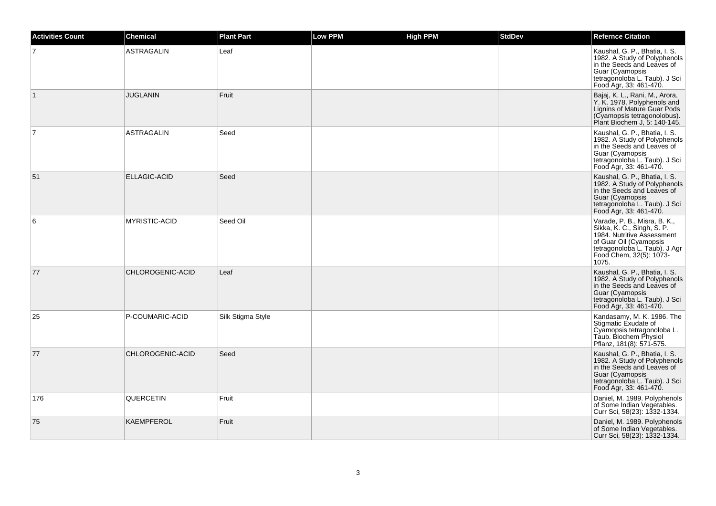| <b>Activities Count</b> | <b>Chemical</b>      | <b>Plant Part</b> | <b>Low PPM</b> | <b>High PPM</b> | <b>StdDev</b> | <b>Refernce Citation</b>                                                                                                                                                                |
|-------------------------|----------------------|-------------------|----------------|-----------------|---------------|-----------------------------------------------------------------------------------------------------------------------------------------------------------------------------------------|
| 7                       | <b>ASTRAGALIN</b>    | Leaf              |                |                 |               | Kaushal, G. P., Bhatia, I. S.<br>1982. A Study of Polyphenols<br>in the Seeds and Leaves of<br>Guar (Cyamopsis<br>tetragonoloba L. Taub). J Sci<br>Food Agr, 33: 461-470.               |
| $\vert$ 1               | <b>JUGLANIN</b>      | Fruit             |                |                 |               | Bajaj, K. L., Rani, M., Arora,<br>Y. K. 1978. Polyphenols and<br>Lignins of Mature Guar Pods<br>(Cyamopsis tetragonolobus).<br>Plant Biochem J, 5: 140-145.                             |
| $\overline{7}$          | ASTRAGALIN           | Seed              |                |                 |               | Kaushal, G. P., Bhatia, I. S.<br>1982. A Study of Polyphenols<br>in the Seeds and Leaves of<br>Guar (Cyamopsis<br>tetragonoloba L. Taub). J Sci<br>Food Agr, 33: 461-470.               |
| 51                      | ELLAGIC-ACID         | Seed              |                |                 |               | Kaushal, G. P., Bhatia, I. S.<br>1982. A Study of Polyphenols<br>in the Seeds and Leaves of<br>Guar (Cyamopsis<br>tetragonoloba L. Taub). J Sci<br>Food Agr, 33: 461-470.               |
| 6                       | <b>MYRISTIC-ACID</b> | Seed Oil          |                |                 |               | Varade, P. B., Misra, B. K.,<br>Sikka, K. C., Singh, S. P.<br>1984. Nutritive Assessment<br>of Guar Oil (Cyamopsis<br>tetragonoloba L. Taub). J Agr<br>Food Chem, 32(5): 1073-<br>1075. |
| 77                      | CHLOROGENIC-ACID     | Leaf              |                |                 |               | Kaushal, G. P., Bhatia, I. S.<br>1982. A Study of Polyphenols<br>in the Seeds and Leaves of<br>Guar (Cyamopsis<br>tetragonoloba L. Taub). J Sci<br>Food Agr, 33: 461-470.               |
| 25                      | P-COUMARIC-ACID      | Silk Stigma Style |                |                 |               | Kandasamy, M. K. 1986. The<br>Stigmatic Exudate of<br>Cyamopsis tetragonoloba L.<br>Taub. Biochem Physiol<br>Pflanz, 181(8): 571-575.                                                   |
| 77                      | CHLOROGENIC-ACID     | Seed              |                |                 |               | Kaushal, G. P., Bhatia, I. S.<br>1982. A Study of Polyphenols<br>in the Seeds and Leaves of<br>Guar (Cyamopsis<br>tetragonoloba L. Taub). J Sci<br>Food Agr, 33: 461-470.               |
| 176                     | QUERCETIN            | Fruit             |                |                 |               | Daniel, M. 1989. Polyphenols<br>of Some Indian Vegetables.<br>Curr Sci, 58(23): 1332-1334.                                                                                              |
| 75                      | <b>KAEMPFEROL</b>    | Fruit             |                |                 |               | Daniel, M. 1989. Polyphenols<br>of Some Indian Vegetables.<br>Curr Sci, 58(23): 1332-1334.                                                                                              |